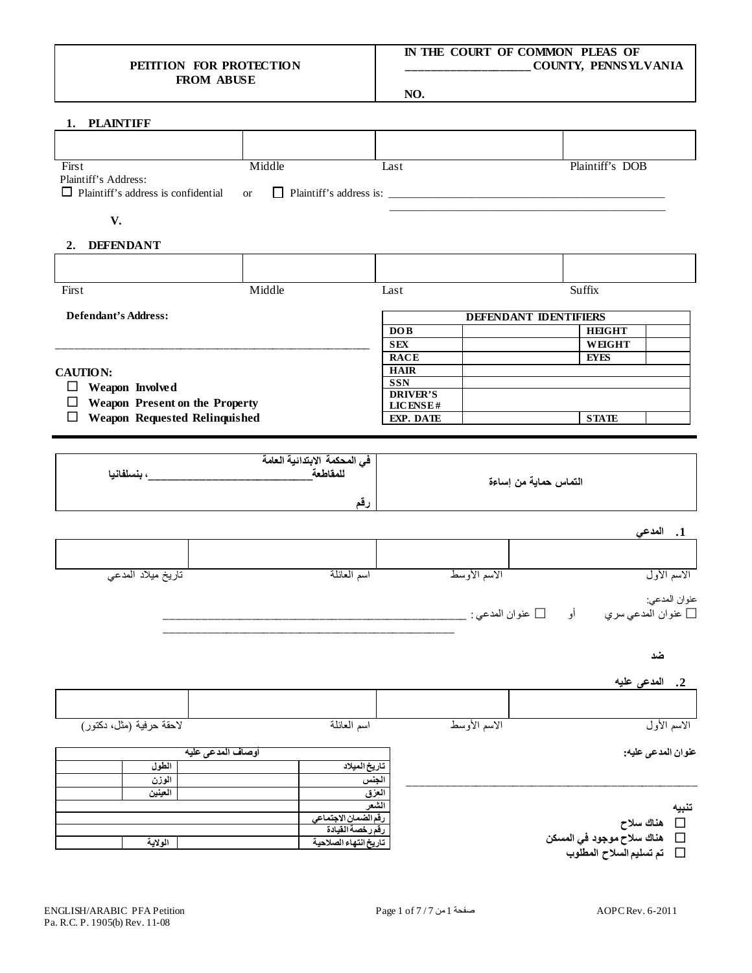## **PETITION FOR PROTECTION FROM ABUSE**

## **IN THE COURT OF COMMON PLEAS OF \_\_\_\_\_\_\_\_\_\_\_\_\_\_\_\_\_\_\_\_ COUNTY, PENNSYLVANIA**

**NO.**

| 1. PLAINTIFF                                                          |                       |                             |                              |                                                                                      |  |
|-----------------------------------------------------------------------|-----------------------|-----------------------------|------------------------------|--------------------------------------------------------------------------------------|--|
|                                                                       |                       |                             |                              |                                                                                      |  |
| First<br>Plaintiff's Address:                                         | Middle                | Last                        | Plaintiff's DOB              |                                                                                      |  |
| $\Box$ Plaintiff's address is confidential                            | <b>or</b>             |                             |                              |                                                                                      |  |
| V.                                                                    |                       |                             |                              |                                                                                      |  |
| 2. DEFENDANT                                                          |                       |                             |                              |                                                                                      |  |
|                                                                       |                       |                             |                              |                                                                                      |  |
| First                                                                 | Middle                | Last                        | <b>Suffix</b>                |                                                                                      |  |
| <b>Defendant's Address:</b>                                           |                       |                             | <b>DEFENDANT IDENTIFIERS</b> |                                                                                      |  |
|                                                                       |                       | DOB                         | <b>HEIGHT</b>                |                                                                                      |  |
|                                                                       |                       | <b>SEX</b>                  | <b>WEIGHT</b>                |                                                                                      |  |
|                                                                       |                       | <b>RACE</b>                 | <b>EYES</b>                  |                                                                                      |  |
| <b>CAUTION:</b>                                                       |                       | <b>HAIR</b><br><b>SSN</b>   |                              |                                                                                      |  |
| Weapon Involved<br>$\Box$<br>Weapon Present on the Property<br>$\Box$ |                       | <b>DRIVER'S</b><br>LICENSE# |                              |                                                                                      |  |
| <b>Weapon Requested Relinquished</b><br>$\Box$                        |                       | EXP. DATE                   | <b>STATE</b>                 |                                                                                      |  |
|                                                                       |                       |                             |                              |                                                                                      |  |
|                                                                       |                       |                             |                              |                                                                                      |  |
|                                                                       |                       |                             | التماس حماية من إساءة        |                                                                                      |  |
|                                                                       |                       | رقم                         |                              |                                                                                      |  |
|                                                                       |                       |                             |                              | 1. المدعى                                                                            |  |
|                                                                       |                       |                             |                              |                                                                                      |  |
| تاريخ ميلاد المدعى                                                    | اسم العائلة           | الاسم الأوسط                |                              | الاسم الأول                                                                          |  |
|                                                                       |                       |                             |                              | عنوان المدعي:                                                                        |  |
|                                                                       |                       |                             |                              |                                                                                      |  |
|                                                                       |                       |                             |                              | ۔ ضد                                                                                 |  |
|                                                                       |                       |                             |                              | 2. المدعى عليه                                                                       |  |
|                                                                       |                       |                             |                              |                                                                                      |  |
| لاحقة حرفية (مثل، دكتور)                                              | اسم العائلة           | الاسم الأوسط                |                              | الاسم الأول                                                                          |  |
|                                                                       | أوصاف المدعى عليه     |                             |                              | عنوان المدعى عليه:                                                                   |  |
| الطول                                                                 |                       | تاريخ الميلاد               |                              |                                                                                      |  |
| الوزن                                                                 |                       | الجنس<br>العِزْق            |                              |                                                                                      |  |
| العينين                                                               |                       |                             |                              |                                                                                      |  |
|                                                                       | رقم الضمان الاجتماعي  | لشعر                        |                              | تنبيه                                                                                |  |
|                                                                       | رقم رخصة القيادة      |                             |                              |                                                                                      |  |
| الولاية                                                               | تاريخ انتهاء الصلاحية |                             |                              | □    هناك سلاح<br>□    هناك سلاح موجود في المسكن<br>ع تم تسليم السلاح المطلوب $\Box$ |  |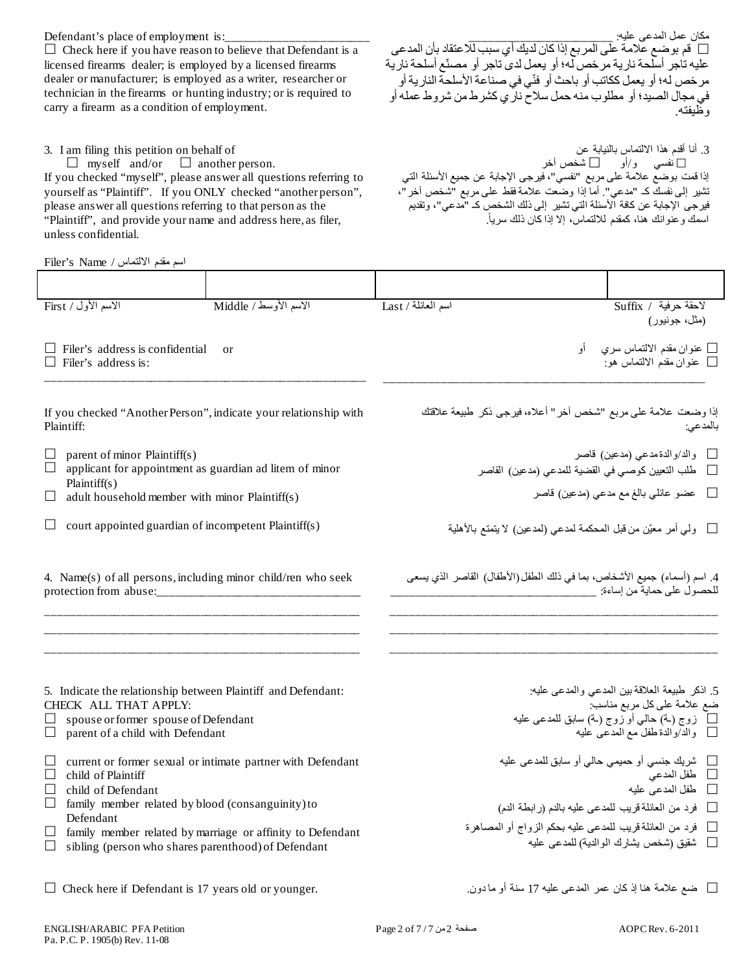licensed firearms dealer; is employed by a licensed firearms dealer or manufacturer; is employed as a writer, researcher or technician in the firearms or hunting industry; or is required to carry a firearm as a condition of employment. عليه تاجر أسلحة نارية مرخص له؛ أو يعمل لدى تاجر أو مصنّع أسلحة نارية مر خص له؛ أو يعمل ككاتب أو باحث أو فنّي في صناعة الأسلحة النارية أو في مجال الصید؛ أو مطلوب منھ حمل سلاح ناري كشرط من شروط عملھ أو وظیفتھ. 3. I am filing this petition on behalf of  $\Box$  myself and/or  $\Box$  another person. .3 أنا أقدم ھذا الالتماس بالنیابة عن نفسي و/أو شخص آخر If you checked "myself", please answer all questions referring to yourself as "Plaintiff". If you ONLY checked "another person", please answer all questions referring to that person as the "Plaintiff", and provide your name and address here, as filer, unless confidential. إذا قمت بوضع علامة على مربع "نفسي"، فیرجى الإجابة عن جمیع الأسئلة التي تشیر إلى نفسك كـ "مدعي". أما إذا وضعت علامة فقط على مربع "شخص آخر"، فیرجى الإجابة عن كافة الأسئلة التي تشیر إلى ذلك الشخص كـ "مدعي"، وتقدیم اسمك و عنوانك هنا، كمقدم للالتماس، إلا إذا كان ذلك سرياً. اسم مقدم الالتماس / Name s'Filer لاحقة حرفیة / Suffix اسم العائلة / Last الاسم الأوسط / Middle الاسم الأول / First (مثل، جونیور) Filer's address is confidential or  $\Box$  Filer's address is: \_\_\_\_\_\_\_\_\_\_\_\_\_\_\_\_\_\_\_\_\_\_\_\_\_\_\_\_\_\_\_\_\_\_\_\_\_\_\_\_\_\_\_\_\_\_\_\_\_\_\_\_ عنوان مقدم الالتماس سري أو عنوان مقدم الالتماس ھو: \_\_\_\_\_\_\_\_\_\_\_\_\_\_\_\_\_\_\_\_\_\_\_\_\_\_\_\_\_\_\_\_\_\_\_\_\_\_\_\_\_\_\_\_\_\_\_\_\_\_\_\_ If you checked "Another Person", indicate your relationship with Plaintiff:  $\Box$  parent of minor Plaintiff(s)<br> $\Box$  applicant for appointment a applicant for appointment as guardian ad litem of minor Plaintiff(s)  $\Box$  adult household member with minor Plaintiff(s)  $\Box$  court appointed guardian of incompetent Plaintiff(s) إذا وضعت علامة على مربع "شخص آخر" أعلاه، فیرجى ذكر طبیعة علاقتك بالمدعي: والد/والدةمدعي (مدعین) قاصر طلب التعیین كوصي في القضیة للمدعي (مدعین) القاصر عضو عائلي بالغ مع مدعي (مدعین) قاصر ولي أمر معیّن من قبل المحكمة لمدعي (لمدعین) لا یتمتع بالأھلیة 4. Name(s) of all persons, including minor child/ren who seek protection from abuse: \_\_\_\_\_\_\_\_\_\_\_\_\_\_\_\_\_\_\_\_\_\_\_\_\_\_\_\_\_\_\_\_\_\_\_\_\_\_\_\_\_\_\_\_\_\_\_\_\_\_\_ \_\_\_\_\_\_\_\_\_\_\_\_\_\_\_\_\_\_\_\_\_\_\_\_\_\_\_\_\_\_\_\_\_\_\_\_\_\_\_\_\_\_\_\_\_\_\_\_\_\_\_ \_\_\_\_\_\_\_\_\_\_\_\_\_\_\_\_\_\_\_\_\_\_\_\_\_\_\_\_\_\_\_\_\_\_\_\_\_\_\_\_\_\_\_\_\_\_\_\_\_\_\_ .4 اسم (أسماء) جمیع الأشخاص، بما في ذلك الطفل (الأطفال) القاصر الذي یسعى للحصول على حمایة من إساءة: \_\_\_\_\_\_\_\_\_\_\_\_\_\_\_\_\_\_\_\_\_\_\_\_\_\_\_\_\_\_\_\_\_ \_\_\_\_\_\_\_\_\_\_\_\_\_\_\_\_\_\_\_\_\_\_\_\_\_\_\_\_\_\_\_\_\_\_\_\_\_\_\_\_\_\_\_\_\_\_\_\_\_\_\_\_\_ \_\_\_\_\_\_\_\_\_\_\_\_\_\_\_\_\_\_\_\_\_\_\_\_\_\_\_\_\_\_\_\_\_\_\_\_\_\_\_\_\_\_\_\_\_\_\_\_\_\_\_\_\_ \_\_\_\_\_\_\_\_\_\_\_\_\_\_\_\_\_\_\_\_\_\_\_\_\_\_\_\_\_\_\_\_\_\_\_\_\_\_\_\_\_\_\_\_\_\_\_\_\_\_\_\_\_ 5. Indicate the relationship between Plaintiff and Defendant: CHECK ALL THAT APPLY:  $\Box$  spouse or former spouse of Defendant  $\Box$  parent of a child with Defendant  $\Box$  current or former sexual or intimate partner with Defendant  $\Box$  child of Plaintiff  $\Box$  child of Defendant<br> $\Box$  family member rela family member related by blood (consanguinity) to Defendant  $\Box$  family member related by marriage or affinity to Defendant  $\Box$  sibling (person who shares parenthood) of Defendant .5 اذكر طبیعة العلاقة بین المدعي والمدعى علیھ: ضع علامة على كل مربع مناسب: زوج (ـة) حالي أو زوج (ـة) سابق للمدعى علیھ والد/والدة طفل مع المدعى علیھ شریك جنسي أو حمیمي حالي أو سابق للمدعى علیھ طفل المدعي طفل المدعى علیھ فرد من العائلة قریب للمدعى علیھ بالدم (رابطة الدم) فرد من العائلة قریب للمدعى علیھ بحكم الزواج أو المصاھرة شقیق (شخص یشارك الوالدیة) للمدعى علیھ  $\Box$  ضع علامة هنا إذ كان عمر المدعى عليه 17 سنة أو ما دون.  $\Box$  Check here if Defendant is 17 years old or younger.

Defendant's place of employment is:

 $\Box$  Check here if you have reason to believe that Defendant is a

مكان عمل المدعى عليه: \_\_\_\_\_\_\_\_\_\_\_\_\_\_\_\_\_\_\_\_\_\_\_\_\_\_\_\_\_\_\_\_\_\_

قم بوضع علامة على المربع إذا كان لدیك أي سبب للاعتقاد بأن المدعى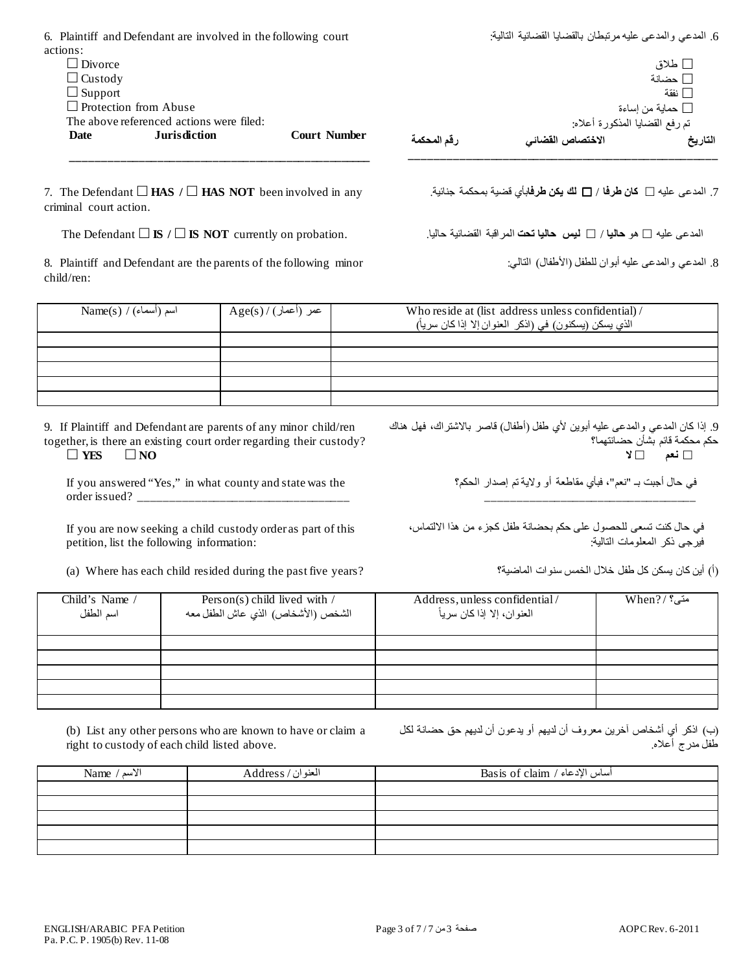| <b>Date</b>    | <b>Jurisdiction</b>                                            | <b>Court Number</b> | رقم المحكمة | الاختصاص القضائي                                          | التاريخ          |
|----------------|----------------------------------------------------------------|---------------------|-------------|-----------------------------------------------------------|------------------|
|                | The above referenced actions were filed:                       |                     |             | نم رفع القضايا المذكورة أعلاه:                            |                  |
|                | $\Box$ Protection from Abuse                                   |                     |             |                                                           | □ حماية من إساءة |
| $\Box$ Support |                                                                |                     |             |                                                           | ∏ نفقة           |
| $\Box$ Custody |                                                                |                     |             |                                                           | حضانة $\Box$     |
| $\Box$ Divorce |                                                                |                     |             |                                                           | ا طلاق $\Box$    |
| actions:       |                                                                |                     |             |                                                           |                  |
|                | 6. Plaintiff and Defendant are involved in the following court |                     |             | 6. المدعى والمدعى عليه مرتبطان بالقضايا القضائية التالية: |                  |

7. The Defendant  $\Box$  **HAS** /  $\Box$  **HAS NOT** been involved in any criminal court action.

The Defendant **IS / IS NOT** currently on probation. .حالیا القضائیة المراقبة **تحت حالیا لیس** / **حالیا** ھو علیھ المدعى

8. Plaintiff and Defendant are the parents of the following minor child/ren:

Name(s) / (أسماء (اسم Age(s) / (أعمار (عمر Who reside at (list address unless confidential) / الذي يسكن (يسكنون) في (اذكر العنوان إلا إذا كان سرياً)

9. If Plaintiff and Defendant are parents of any minor child/ren together, is there an existing court order regarding their custody?  $\Box$  **YES**  $\Box$  **NO** 

If you answered "Yes," in what county and state was the order issued?

If you are now seeking a child custody order as part of this petition, list the following information:

(a) Where has each child resided during the past five years? الماضیة؟ سنوات الخمس خلال طفل كل یسكن كان أین) أ(

.9 إذا كان المدعي والمدعى علیھ أبوین لأي طفل (أطفال) قاصر بالاشتراك، فھل ھناك حكم محكمة قائم بشأن حضانتھما؟

**نعم لا**

في حال أجبت بـ "نعم"، فبأي مقاطعة أو ولایة تم إصدار الحكم؟

\_\_\_\_\_\_\_\_\_\_\_\_\_\_\_\_\_\_\_\_\_\_\_\_\_\_\_\_\_\_\_\_\_\_

.7 المدعى علیھ **كان طرفا** / **لك یكن طرفا**بأي قضیة بمحكمة جنائیة.

.8 المدعي والمدعى علیھ أبوان للطفل (الأطفال) التالي:

في حال كنت تسعى للحصول على حكم بحضانة طفل كجزء من ھذا الالتماس، فیرجى ذكر المعلومات التالیة:

| Child's Name /<br>اسم الطفل | Person(s) child lived with $/$<br>الشخص (الأشخاص) الذي عاش الطفل معه | Address, unless confidential/<br>المعنوان، إلا إذا كان سرياً | متى؟ /? When |
|-----------------------------|----------------------------------------------------------------------|--------------------------------------------------------------|--------------|
|                             |                                                                      |                                                              |              |
|                             |                                                                      |                                                              |              |
|                             |                                                                      |                                                              |              |
|                             |                                                                      |                                                              |              |
|                             |                                                                      |                                                              |              |

(b) List any other persons who are known to have or claim a right to custody of each child listed above.

(ب) اذكر أي أشخاص آخرین معروف أن لدیھم أو یدعون أن لدیھم حق حضانة لكل طفل مدرج أعلاه.

| Name / الأسم | العنوان/ Address | he أساس الإدعاء / Basis of claim |
|--------------|------------------|----------------------------------|
|              |                  |                                  |
|              |                  |                                  |
|              |                  |                                  |
|              |                  |                                  |
|              |                  |                                  |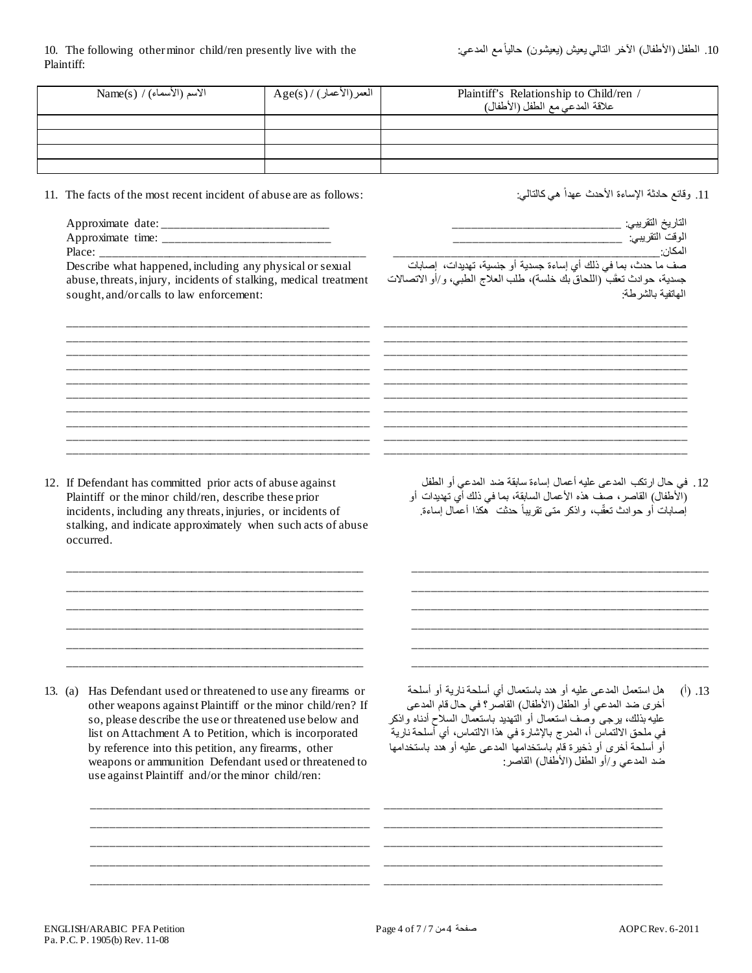|         | $Name(s) / (e^{\frac{1}{2}})$ الأسماء)                                                                                                                                                                                                                                                                                                                                                                            |  | Plaintiff's Relationship to Child/ren /<br>علاقة المدعي مع الطفل (الأطفال)                                                                                                                                                                                                                                                                                                                 |           |
|---------|-------------------------------------------------------------------------------------------------------------------------------------------------------------------------------------------------------------------------------------------------------------------------------------------------------------------------------------------------------------------------------------------------------------------|--|--------------------------------------------------------------------------------------------------------------------------------------------------------------------------------------------------------------------------------------------------------------------------------------------------------------------------------------------------------------------------------------------|-----------|
|         |                                                                                                                                                                                                                                                                                                                                                                                                                   |  |                                                                                                                                                                                                                                                                                                                                                                                            |           |
|         |                                                                                                                                                                                                                                                                                                                                                                                                                   |  |                                                                                                                                                                                                                                                                                                                                                                                            |           |
|         | 11. The facts of the most recent incident of abuse are as follows:<br>abuse, threats, injury, incidents of stalking, medical treatment<br>sought, and/or calls to law enforcement:                                                                                                                                                                                                                                |  | 11. وقائع حادثة الإساءة الأحدث عهداً هي كالتالي:<br>المكان:<br>جسدية، حوادث تعقَّب (اللحاق بك خلسة)، طلب العلاج الطبي، و/أو الاتصالات<br>المهاتفة بالشرطة:                                                                                                                                                                                                                                 |           |
|         | 12. If Defendant has committed prior acts of abuse against<br>Plaintiff or the minor child/ren, describe these prior<br>incidents, including any threats, injuries, or incidents of<br>stalking, and indicate approximately when such acts of abuse<br>occurred.                                                                                                                                                  |  | 12 . في حال ارتكب المدعى عليه أعمال إساءة سابقة ضد المدعى أو الطفل<br>(الأطفال) القاصر ، صف هذه الأعمال السابقة، بما في ذلك أي تهديدات أو<br>اُِصابات أو حوادث تعقّب، واذكر متى تقريباً حدثت ۚ هكذا أعمّال اِساءة.                                                                                                                                                                         |           |
| 13. (a) | Has Defendant used or threatened to use any firearms or<br>other weapons against Plaintiff or the minor child/ren? If<br>so, please describe the use or threatened use below and<br>list on Attachment A to Petition, which is incorporated<br>by reference into this petition, any firearms, other<br>weapons or ammunition Defendant used or threatened to<br>use against Plaintiff and/or the minor child/ren: |  | هل استعمل المدعى عليه أو هدد باستعمال أي أسلحة نارية أو أسلحة<br>أخرى ضد المدعى أو الطفل (الأطفال) القاصر؟ في حال قام المدعى<br>عليه بذلك، برجي وصف استعمال أو التهديد باستعمال السلاح أدناه واذكر<br>في ملحق الالتماس أ، المدرج بالإشارة في هذا الالتماس، أي أسلحة نارية<br>أو أسلحة أخرى أو ذخيرة قام باستخدامها المدعى عليه أو هدد باستخدامها<br>ضد المدعى و/أو الطفل (الأطفال) القاصر: | $(1)$ .13 |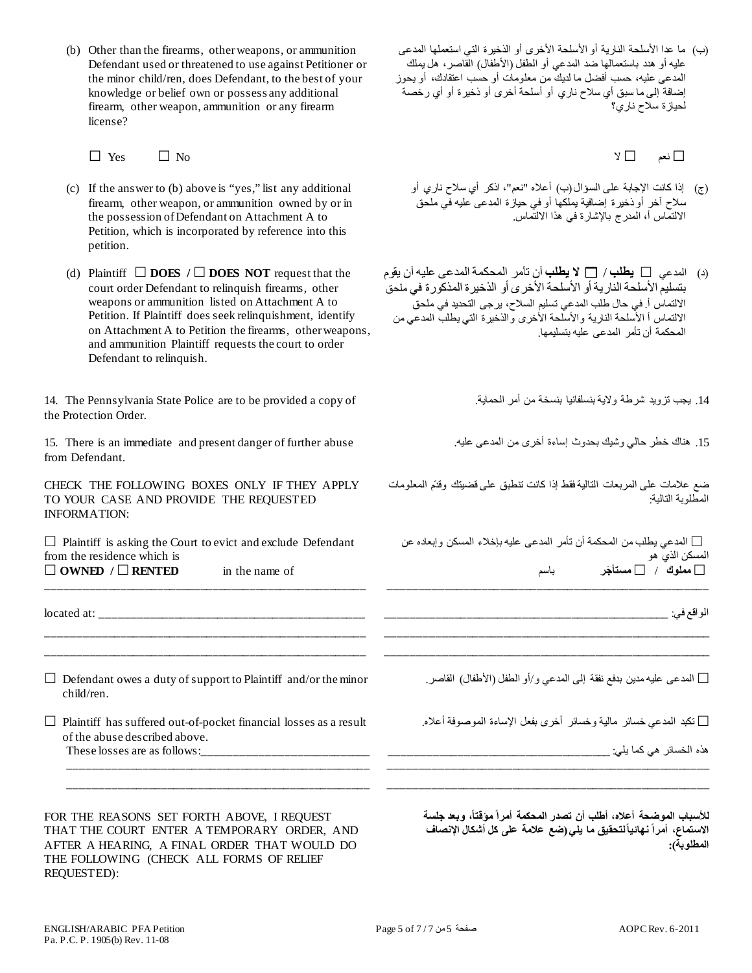(b) Other than the firearms, other weapons, or ammunition Defendant used or threatened to use against Petitioner or the minor child/ren, does Defendant, to the best of your knowledge or belief own or possess any additional firearm, other weapon, ammunition or any firearm license?

 $\Box$  Yes  $\Box$  No

- (c) If the answer to (b) above is "yes," list any additional firearm, other weapon, or ammunition owned by or in the possession of Defendant on Attachment A to Petition, which is incorporated by reference into this petition.
- (d) Plaintiff  $\Box$  **DOES** /  $\Box$  **DOES NOT** request that the court order Defendant to relinquish firearms, other weapons or ammunition listed on Attachment A to Petition. If Plaintiff does seek relinquishment, identify on Attachment A to Petition the firearms, other weapons, and ammunition Plaintiff requests the court to order Defendant to relinquish.

14. The Pennsylvania State Police are to be provided a copy of the Protection Order.

15. There is an immediate and present danger of further abuse from Defendant.

CHECK THE FOLLOWING BOXES ONLY IF THEY APPLY TO YOUR CASE AND PROVIDE THE REQUESTED INFORMATION:

 $\Box$  Plaintiff is asking the Court to evict and exclude Defendant from the residence which is  $\Box$  **OWNED** /  $\Box$  **RENTED** in the name of

\_\_\_\_\_\_\_\_\_\_\_\_\_\_\_\_\_\_\_\_\_\_\_\_\_\_\_\_\_\_\_\_\_\_\_\_\_\_\_\_\_\_\_\_\_\_\_\_\_\_\_\_

located at: \_\_\_\_\_\_\_\_\_\_\_\_\_\_\_\_\_\_\_\_\_\_\_\_\_\_\_\_\_\_\_\_\_\_\_\_\_\_\_\_\_\_\_

 $\Box$  Defendant owes a duty of support to Plaintiff and/or the minor child/ren.

\_\_\_\_\_\_\_\_\_\_\_\_\_\_\_\_\_\_\_\_\_\_\_\_\_\_\_\_\_\_\_\_\_\_\_\_\_\_\_\_\_\_\_\_\_\_\_\_\_\_\_\_ \_\_\_\_\_\_\_\_\_\_\_\_\_\_\_\_\_\_\_\_\_\_\_\_\_\_\_\_\_\_\_\_\_\_\_\_\_\_\_\_\_\_\_\_\_\_\_\_\_\_\_\_

 $\Box$  Plaintiff has suffered out-of-pocket financial losses as a result of the abuse described above.

\_\_\_\_\_\_\_\_\_\_\_\_\_\_\_\_\_\_\_\_\_\_\_\_\_\_\_\_\_\_\_\_\_\_\_\_\_\_\_\_\_\_\_\_\_\_\_\_\_ \_\_\_\_\_\_\_\_\_\_\_\_\_\_\_\_\_\_\_\_\_\_\_\_\_\_\_\_\_\_\_\_\_\_\_\_\_\_\_\_\_\_\_\_\_\_\_\_\_

These losses are as follows:

FOR THE REASONS SET FORTH ABOVE, I REQUEST THAT THE COURT ENTER A TEMPORARY ORDER, AND AFTER A HEARING, A FINAL ORDER THAT WOULD DO THE FOLLOWING (CHECK ALL FORMS OF RELIEF REQUESTED):

(ب) ما عدا الأسلحة الناریة أو الأسلحة الأخرى أو الذخیرة التي استعملھا المدعى علیھ أو ھدد باستعمالھا ضد المدعي أو الطفل (الأطفال) القاصر، ھل یملك المدعى علیھ، حسب أفضل ما لدیك من معلومات أو حسب اعتقادك، أو یحوز إضافة إلى ما سبق أي سلاح ناري أو أسلحة أخرى أو ذخیرة أو أي رخصة لحیازة سلاح ناري؟

□نعم □لا

- (ج) إذا كانت الإجابة على السؤال (ب) أعلاه "نعم"، اذكر أي سلاح ناري أو سلاح آخر أو ذخیرة إضافیة یملكھا أو في حیازة المدعى علیھ في ملحق الالتماس أ، المدرج بالإشارة في ھذا الالتماس.
- (د) المدعي **یطلب** / **لا یطلب** أن تأمر المحكمة المدعى علیھ أن یقوم بتسلیم الأسلحة الناریة أو الأسلحة الأخرى أو الذخیرة المذكورة في ملحق الالتماس أ. في حال طلب المدعي تسلیم السلاح، یرجى التحدید في ملحق الالتماس أ الأسلحة الناریة والأسلحة الأخرى والذخیرة التي یطلب المدعي من المحكمة أن تأمر المدعى علیھ بتسلیمھا.

.14 یجب تزوید شرطة ولایة بنسلفانیا بنسخة من أمر الحمایة.

.15 ھناك خطر حالي وشیك بحدوث إساءة أخرى من المدعى علیھ.

ضع علامات على المربعات التالیة فقط إذا كانت تنطبق على قضیتك وقدّم المعلومات المطلوبة التالیة:

 المدعي یطلب من المحكمة أن تأمر المدعى علیھ بإخلاء المسكن وإبعاده عن المسكن الذي ھو **مملوك** / **َ مستأجر** باسم

\_\_\_\_\_\_\_\_\_\_\_\_\_\_\_\_\_\_\_\_\_\_\_\_\_\_\_\_\_\_\_\_\_\_\_\_\_\_\_\_\_\_\_\_\_\_\_\_\_\_\_\_

\_\_\_\_\_\_\_\_\_\_\_\_\_\_\_\_\_\_\_\_\_\_\_\_\_\_\_\_\_\_\_\_\_\_\_\_\_\_\_\_\_\_\_\_\_\_\_\_\_\_\_\_\_ \_\_\_\_\_\_\_\_\_\_\_\_\_\_\_\_\_\_\_\_\_\_\_\_\_\_\_\_\_\_\_\_\_\_\_\_\_\_\_\_\_\_\_\_\_\_\_\_\_\_\_\_\_

الواقع في: \_\_\_\_\_\_\_\_\_\_\_\_\_\_\_\_\_\_\_\_\_\_\_\_\_\_\_\_\_\_\_\_\_\_\_\_\_\_\_\_\_\_\_\_\_\_

المدعى علیھ مدین بدفع نفقة إلى المدعي و/أو الطفل (الأطفال) القاصر.

تكبد المدعي خسائر مالیة وخسائر أخرى بفعل الإساءة الموصوفة أعلاه.

\_\_\_\_\_\_\_\_\_\_\_\_\_\_\_\_\_\_\_\_\_\_\_\_\_\_\_\_\_\_\_\_\_\_\_\_\_\_\_\_\_\_\_\_\_\_\_\_\_\_\_\_ \_\_\_\_\_\_\_\_\_\_\_\_\_\_\_\_\_\_\_\_\_\_\_\_\_\_\_\_\_\_\_\_\_\_\_\_\_\_\_\_\_\_\_\_\_\_\_\_\_\_\_\_

|  |  |  | - 20 | ٠N<br>1. A. VA |  |
|--|--|--|------|----------------|--|
|--|--|--|------|----------------|--|

**،ً وبعد جلسة للأسباب الموضحة أعلاه، أطلب أن تصدر المحكمة أمراً مؤقتا ً نھائیاًلتحقیق ما یلي(ضع علامة على كل أشكال الإنصاف الاستماع، أمرا المطلوبة):**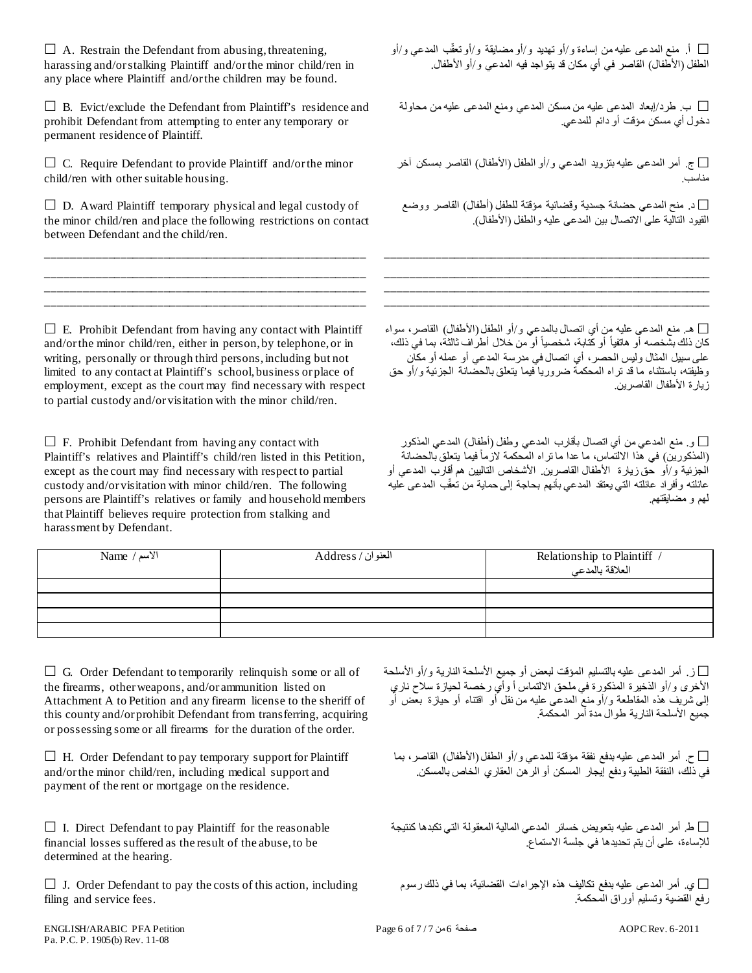$\Box$  A. Restrain the Defendant from abusing, threatening, harassing and/or stalking Plaintiff and/or the minor child/ren in any place where Plaintiff and/or the children may be found.

 $\Box$  B. Evict/exclude the Defendant from Plaintiff's residence and prohibit Defendant from attempting to enter any temporary or permanent residence of Plaintiff.

 $\Box$  C. Require Defendant to provide Plaintiff and/or the minor child/ren with other suitable housing.

 $\Box$  D. Award Plaintiff temporary physical and legal custody of the minor child/ren and place the following restrictions on contact between Defendant and the child/ren.

\_\_\_\_\_\_\_\_\_\_\_\_\_\_\_\_\_\_\_\_\_\_\_\_\_\_\_\_\_\_\_\_\_\_\_\_\_\_\_\_\_\_\_\_\_\_\_\_\_\_\_\_ \_\_\_\_\_\_\_\_\_\_\_\_\_\_\_\_\_\_\_\_\_\_\_\_\_\_\_\_\_\_\_\_\_\_\_\_\_\_\_\_\_\_\_\_\_\_\_\_\_\_\_\_ \_\_\_\_\_\_\_\_\_\_\_\_\_\_\_\_\_\_\_\_\_\_\_\_\_\_\_\_\_\_\_\_\_\_\_\_\_\_\_\_\_\_\_\_\_\_\_\_\_\_\_\_ \_\_\_\_\_\_\_\_\_\_\_\_\_\_\_\_\_\_\_\_\_\_\_\_\_\_\_\_\_\_\_\_\_\_\_\_\_\_\_\_\_\_\_\_\_\_\_\_\_\_\_\_

 $\Box$  E. Prohibit Defendant from having any contact with Plaintiff and/or the minor child/ren, either in person, by telephone, or in writing, personally or through third persons, including but not limited to any contact at Plaintiff's school, business or place of employment, except as the court may find necessary with respect to partial custody and/or visitation with the minor child/ren.

 $\Box$  F. Prohibit Defendant from having any contact with Plaintiff's relatives and Plaintiff's child/ren listed in this Petition, except as the court may find necessary with respect to partial custody and/or visitation with minor child/ren. The following persons are Plaintiff's relatives or family and household members that Plaintiff believes require protection from stalking and harassment by Defendant.

ّب المدعي و/أو أ. منع المدعى علیھ من إساءة و/أو تھدید و/أو مضایقة و/أو تعق الطفل (الأطفال) القاصر في أي مكان قد یتواجد فیھ المدعي و/أو الأطفال.

ب. طرد/إبعاد المدعى عليه من مسكن المدعي ومنع المدعى عليه من محاولة  $\Box$ دخول أي مسكن مؤقت أو دائم للمدعي.

 ج. أمر المدعى علیھ بتزوید المدعي و/أو الطفل (الأطفال) القاصر بمسكن آخر مناسب.

 د. منح المدعي حضانة جسدیة وقضائیة مؤقتة للطفل (أطفال) القاصر ووضع القیود التالیة على الاتصال بین المدعى علیھ والطفل (الأطفال).

\_\_\_\_\_\_\_\_\_\_\_\_\_\_\_\_\_\_\_\_\_\_\_\_\_\_\_\_\_\_\_\_\_\_\_\_\_\_\_\_\_\_\_\_\_\_\_\_\_\_\_\_\_ \_\_\_\_\_\_\_\_\_\_\_\_\_\_\_\_\_\_\_\_\_\_\_\_\_\_\_\_\_\_\_\_\_\_\_\_\_\_\_\_\_\_\_\_\_\_\_\_\_\_\_\_\_ \_\_\_\_\_\_\_\_\_\_\_\_\_\_\_\_\_\_\_\_\_\_\_\_\_\_\_\_\_\_\_\_\_\_\_\_\_\_\_\_\_\_\_\_\_\_\_\_\_\_\_\_\_ \_\_\_\_\_\_\_\_\_\_\_\_\_\_\_\_\_\_\_\_\_\_\_\_\_\_\_\_\_\_\_\_\_\_\_\_\_\_\_\_\_\_\_\_\_\_\_\_\_\_\_\_\_

 ھـ. منع المدعى علیھ من أي اتصال بالمدعي و/أو الطفل (الأطفال) القاصر، سواء كان ذلك بشَّخصه أو هاتفياً أو كَتابة، شخصياً أو من خلال أطراف ثالثة، بما في ذلك، على سبیل المثال ولیس الحصر، أي اتصال في مدرسة المدعي أو عملھ أو مكان وظیفتھ، باستثناء ما قد تراه المحكمة ضروریا فیما یتعلق بالحضانة الجزئیة و/أو حق زیارة الأطفال القاصرین.

 و. منع المدعي من أي اتصال بأقارب المدعي وطفل (أطفال) المدعي المذكور (المذكورين) في هذا الالتماس، ما عدا ما تراه المُحكمة لازماً فيما يتعلق بالحضانة الجزئیة و/أو حق زیارة الأطفال القاصرین. الأشخاص التالیین ھم أقارب المدعي أو عائلته وأفراد عائلته التي يعتقد المدعي بأنهم بحاجة إلى حماية من تعقّب المدعى عليه لھم و مضایقتھم.

| $Name / w$ الأسم | العنوان/ Address | / Relationship to Plaintiff<br>المعلاقة بالمدعى |
|------------------|------------------|-------------------------------------------------|
|                  |                  |                                                 |
|                  |                  |                                                 |
|                  |                  |                                                 |
|                  |                  |                                                 |

 $\Box$  G. Order Defendant to temporarily relinquish some or all of the firearms, other weapons, and/or ammunition listed on Attachment A to Petition and any firearm license to the sheriff of this county and/or prohibit Defendant from transferring, acquiring or possessing some or all firearms for the duration of the order.

 $\Box$  H. Order Defendant to pay temporary support for Plaintiff and/or the minor child/ren, including medical support and payment of the rent or mortgage on the residence.

 $\Box$  I. Direct Defendant to pay Plaintiff for the reasonable financial losses suffered as the result of the abuse, to be determined at the hearing.

 $\Box$  J. Order Defendant to pay the costs of this action, including filing and service fees.

 ز. أمر المدعى علیھ بالتسلیم المؤقت لبعض أو جمیع الأسلحة الناریة و/أو الأسلحة الأخرى و/أو الذخیرة المذكورة في ملحق الالتماس أ وأي رخصة لحیازة سلاح ناري إلى شریف ھذه المقاطعة و/أو منع المدعى علیھ من نقل أو اقتناء أو حیازة بعض أو جمیع الأسلحة الناریة طوال مدة أمر المحكمة.

 ح. أمر المدعى علیھ بدفع نفقة مؤقتة للمدعي و/أو الطفل (الأطفال) القاصر، بما في ذلك، النفقة الطبیة ودفع إیجار المسكن أو الرھن العقاري الخاص بالمسكن.

ط. أمر المدعى علیه بتعویض خسائر المدعى المالیة المعقولـة التي تكبدها كنتیجة  $\Box$ للإساءة، على أن یتم تحدیدھا في جلسة الاستماع.

ي. أمر المدعى عليه بدفع تكالیف هذه الإجراءات القضائیة، بما في ذلك رسوم  $\Box$ رفع القضیة وتسلیم أوراق المحكمة.